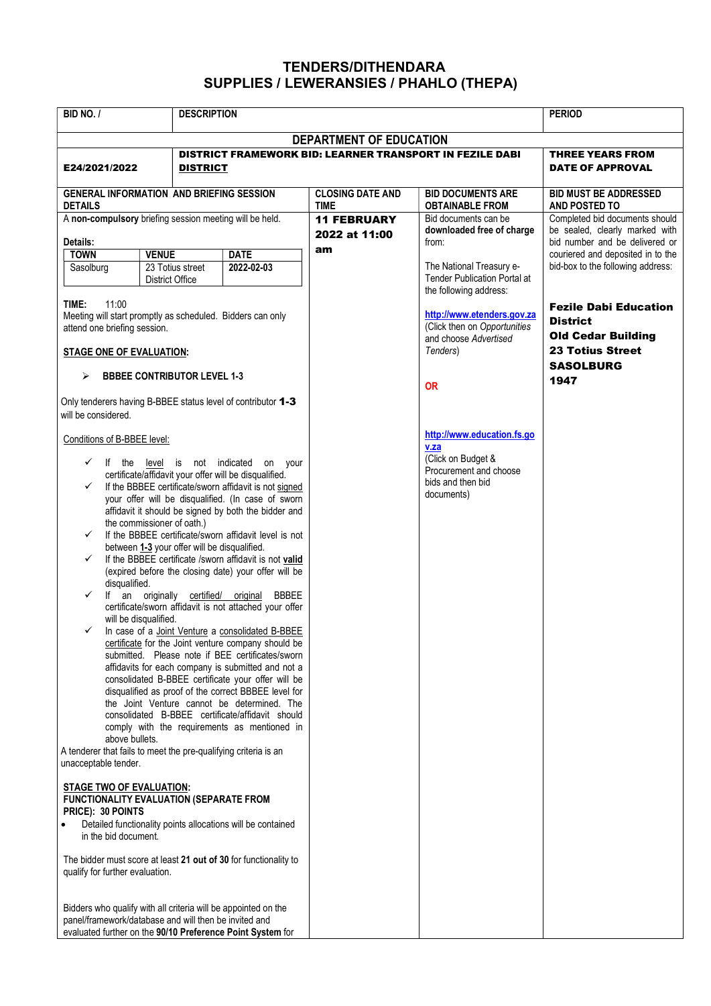## TENDERS/DITHENDARA SUPPLIES / LEWERANSIES / PHAHLO (THEPA)

| BID NO. /                                                                                                                                                                                                                                                                                                                                                                                                                                                                                                                                                                                                                                                                                                                                                                                                                                                                                                                                                                                                                                                                                                                                                                                                                                                                                                                                                                                                                                                                                                                                                                                                                                                                         |                                                                                                                                                                                       | <b>DESCRIPTION</b>        |                                                                                           |                                                                                                                       | <b>PERIOD</b>                                                                                                               |
|-----------------------------------------------------------------------------------------------------------------------------------------------------------------------------------------------------------------------------------------------------------------------------------------------------------------------------------------------------------------------------------------------------------------------------------------------------------------------------------------------------------------------------------------------------------------------------------------------------------------------------------------------------------------------------------------------------------------------------------------------------------------------------------------------------------------------------------------------------------------------------------------------------------------------------------------------------------------------------------------------------------------------------------------------------------------------------------------------------------------------------------------------------------------------------------------------------------------------------------------------------------------------------------------------------------------------------------------------------------------------------------------------------------------------------------------------------------------------------------------------------------------------------------------------------------------------------------------------------------------------------------------------------------------------------------|---------------------------------------------------------------------------------------------------------------------------------------------------------------------------------------|---------------------------|-------------------------------------------------------------------------------------------|-----------------------------------------------------------------------------------------------------------------------|-----------------------------------------------------------------------------------------------------------------------------|
|                                                                                                                                                                                                                                                                                                                                                                                                                                                                                                                                                                                                                                                                                                                                                                                                                                                                                                                                                                                                                                                                                                                                                                                                                                                                                                                                                                                                                                                                                                                                                                                                                                                                                   |                                                                                                                                                                                       |                           | <b>DEPARTMENT OF EDUCATION</b>                                                            |                                                                                                                       |                                                                                                                             |
| E24/2021/2022                                                                                                                                                                                                                                                                                                                                                                                                                                                                                                                                                                                                                                                                                                                                                                                                                                                                                                                                                                                                                                                                                                                                                                                                                                                                                                                                                                                                                                                                                                                                                                                                                                                                     | <b>DISTRICT</b>                                                                                                                                                                       |                           | <b>DISTRICT FRAMEWORK BID: LEARNER TRANSPORT IN FEZILE DABI</b>                           |                                                                                                                       | <b>THREE YEARS FROM</b><br><b>DATE OF APPROVAL</b>                                                                          |
| <b>GENERAL INFORMATION AND BRIEFING SESSION</b><br><b>DETAILS</b>                                                                                                                                                                                                                                                                                                                                                                                                                                                                                                                                                                                                                                                                                                                                                                                                                                                                                                                                                                                                                                                                                                                                                                                                                                                                                                                                                                                                                                                                                                                                                                                                                 |                                                                                                                                                                                       |                           | <b>CLOSING DATE AND</b><br><b>TIME</b>                                                    | <b>BID DOCUMENTS ARE</b><br><b>OBTAINABLE FROM</b>                                                                    | <b>BID MUST BE ADDRESSED</b><br><b>AND POSTED TO</b>                                                                        |
| A non-compulsory briefing session meeting will be held.<br>Details:                                                                                                                                                                                                                                                                                                                                                                                                                                                                                                                                                                                                                                                                                                                                                                                                                                                                                                                                                                                                                                                                                                                                                                                                                                                                                                                                                                                                                                                                                                                                                                                                               |                                                                                                                                                                                       |                           | <b>11 FEBRUARY</b><br>2022 at 11:00<br>am                                                 | Bid documents can be<br>downloaded free of charge<br>from:                                                            | Completed bid documents should<br>be sealed, clearly marked with<br>bid number and be delivered or                          |
| <b>TOWN</b><br>Sasolburg                                                                                                                                                                                                                                                                                                                                                                                                                                                                                                                                                                                                                                                                                                                                                                                                                                                                                                                                                                                                                                                                                                                                                                                                                                                                                                                                                                                                                                                                                                                                                                                                                                                          | <b>VENUE</b><br>23 Totius street<br><b>District Office</b>                                                                                                                            | <b>DATE</b><br>2022-02-03 | The National Treasury e-<br><b>Tender Publication Portal at</b><br>the following address: | couriered and deposited in to the<br>bid-box to the following address:                                                |                                                                                                                             |
| TIME:<br>11:00<br>Meeting will start promptly as scheduled. Bidders can only<br>attend one briefing session.<br><b>STAGE ONE OF EVALUATION:</b>                                                                                                                                                                                                                                                                                                                                                                                                                                                                                                                                                                                                                                                                                                                                                                                                                                                                                                                                                                                                                                                                                                                                                                                                                                                                                                                                                                                                                                                                                                                                   |                                                                                                                                                                                       |                           | and choose Advertised<br>Tenders)<br><b>OR</b>                                            | http://www.etenders.gov.za<br>(Click then on Opportunities                                                            | <b>Fezile Dabi Education</b><br><b>District</b><br><b>Old Cedar Building</b><br><b>23 Totius Street</b><br><b>SASOLBURG</b> |
| <b>BBBEE CONTRIBUTOR LEVEL 1-3</b><br>⋗                                                                                                                                                                                                                                                                                                                                                                                                                                                                                                                                                                                                                                                                                                                                                                                                                                                                                                                                                                                                                                                                                                                                                                                                                                                                                                                                                                                                                                                                                                                                                                                                                                           |                                                                                                                                                                                       |                           |                                                                                           | 1947                                                                                                                  |                                                                                                                             |
| Only tenderers having B-BBEE status level of contributor 1-3<br>will be considered.<br>Conditions of B-BBEE level:<br>level is not indicated<br>$\checkmark$<br>If the<br>on your<br>certificate/affidavit your offer will be disqualified.<br>If the BBBEE certificate/sworn affidavit is not signed<br>✓<br>your offer will be disqualified. (In case of sworn<br>affidavit it should be signed by both the bidder and<br>the commissioner of oath.)<br>If the BBBEE certificate/sworn affidavit level is not<br>✓<br>between 1-3 your offer will be disqualified.<br>If the BBBEE certificate /sworn affidavit is not valid<br>(expired before the closing date) your offer will be<br>disqualified.<br>$\checkmark$<br>If an originally certified/ original<br><b>BBBEE</b><br>certificate/sworn affidavit is not attached your offer<br>will be disqualified.<br>In case of a Joint Venture a consolidated B-BBEE<br>✓<br>certificate for the Joint venture company should be<br>submitted. Please note if BEE certificates/sworn<br>affidavits for each company is submitted and not a<br>consolidated B-BBEE certificate your offer will be<br>disqualified as proof of the correct BBBEE level for<br>the Joint Venture cannot be determined. The<br>consolidated B-BBEE certificate/affidavit should<br>comply with the requirements as mentioned in<br>above bullets.<br>A tenderer that fails to meet the pre-qualifying criteria is an<br>unacceptable tender.<br>STAGE TWO OF EVALUATION:<br><b>FUNCTIONALITY EVALUATION (SEPARATE FROM</b><br>PRICE): 30 POINTS<br>Detailed functionality points allocations will be contained<br>$\bullet$<br>in the bid document. |                                                                                                                                                                                       |                           |                                                                                           | http://www.education.fs.go<br>v.za<br>(Click on Budget &<br>Procurement and choose<br>bids and then bid<br>documents) |                                                                                                                             |
|                                                                                                                                                                                                                                                                                                                                                                                                                                                                                                                                                                                                                                                                                                                                                                                                                                                                                                                                                                                                                                                                                                                                                                                                                                                                                                                                                                                                                                                                                                                                                                                                                                                                                   | Bidders who qualify with all criteria will be appointed on the<br>panel/framework/database and will then be invited and<br>evaluated further on the 90/10 Preference Point System for |                           |                                                                                           |                                                                                                                       |                                                                                                                             |